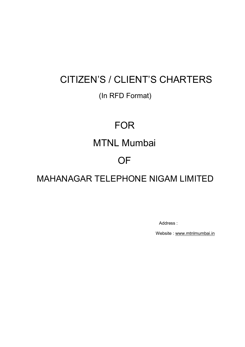# CITIZEN'S / CLIENT'S CHARTERS

# (In RFD Format)

# FOR

# MTNL Mumbai

# **OF**

MAHANAGAR TELEPHONE NIGAM LIMITED

Address :

Website : www.mtnlmumbai.in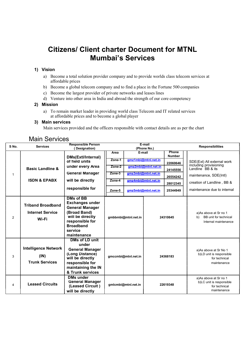# Citizens/ Client charter Document for MTNL Mumbai's Services

# 1) Vision

- a) Become a total solution provider company and to provide worlds class telecom services at affordable prices
- b) Become a global telecom company and to find a place in the Fortune 500 companies
- c) Become the largest provider of private networks and leases lines
- d) Venture into other area in India and abroad the strength of our core competency

## 2) Mission

a) To remain market leader in providing world class Telecom and IT related services at affordable prices and to become a global player

## 3) Main services

Main services provided and the officers responsible with contact details are as per the chart

# Main Services

| S No. | <b>Services</b>                                              | <b>Responsible Person</b><br>Designation)                                                                                                                                 |        |                     | E-mail<br>(Phone No.) |                        | <b>Responsibilities</b>                                                           |
|-------|--------------------------------------------------------------|---------------------------------------------------------------------------------------------------------------------------------------------------------------------------|--------|---------------------|-----------------------|------------------------|-----------------------------------------------------------------------------------|
|       |                                                              | DMs(Extl/Internal)                                                                                                                                                        | Area   | E-mail              |                       | Phone<br><b>Number</b> |                                                                                   |
|       |                                                              | of field units                                                                                                                                                            | Zone-1 |                     | gmz1mbi@mtnl.net.in   | 22060646               | SDE(Ext) All external work                                                        |
|       | <b>Basic Landline &amp;</b>                                  | under every Area                                                                                                                                                          | Zone-2 |                     | gmz2mbi@mtnl.net.in   | 24145556               | including provisioning<br>Landline BB & its                                       |
| 1     |                                                              | <b>General Manager</b>                                                                                                                                                    | Zone-3 |                     | gmz3mbi@mtnl.net.in   | 26554242               | maintenance, SDE(Intl)                                                            |
|       | <b>ISDN &amp; EPABX</b>                                      | will be directly                                                                                                                                                          | Zone-4 |                     | gmz4mbi@mtnl.net.in   | 28012345               | creation of Landline, BB &                                                        |
|       |                                                              | responsible for                                                                                                                                                           | Zone-5 |                     | gmz5mbi@mtnl.net.in   | 25344949               | maintenance due to internal                                                       |
| 2     | <b>Triband Broadband</b><br><b>Internet Service</b><br>Wi-Fi | <b>DMs of BB</b><br><b>Exchanges under</b><br><b>General Manager</b><br>(Broad Band)<br>will be directly<br>responsible for<br><b>Broadband</b><br>service<br>maintenance |        | gmbbmbi@mtnl.net.in |                       | 24310645               | a)As above at Sr no 1<br>BB unit for technical<br>b)<br>Internal maintenance      |
| 3     | <b>Intelligence Network</b><br>(IN)<br><b>Trunk Services</b> | DMs of LD unit<br>under<br><b>General Manager</b><br>(Long Distance)<br>will be directly<br>responsible for<br>maintaining the IN<br>& Trunk services                     |        | gmccmbi@mtnl.net.in |                       | 24368183               | a)As above at Sr No 1<br>b)LD unit is responsible<br>for technical<br>maintenance |
| 4     | <b>Leased Circuits</b>                                       | <b>DMs under</b><br><b>General Manager</b><br>(Leased Circuit)<br>will be directly                                                                                        |        | gmlcmbi@mtnl.net.in |                       | 22619348               | a)As above at Sr no 1<br>b)LC unit is responsible<br>for technical<br>maintenance |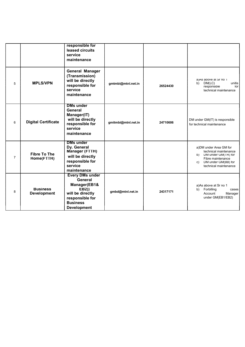|                |                                       | responsible for<br>leased circuits<br>service<br>maintenance                                                                               |                     |          |                                                                                                                                                         |
|----------------|---------------------------------------|--------------------------------------------------------------------------------------------------------------------------------------------|---------------------|----------|---------------------------------------------------------------------------------------------------------------------------------------------------------|
| 5              | <b>MPLS/VPN</b>                       | <b>General Manager</b><br>(Transmission)<br>will be directly<br>responsible for<br>service<br>maintenance                                  | gmtmbi@mtnl.net.in  | 26524430 | a)As above at Sr no 1<br>DM(LC)<br>unitis<br>b)<br>responsible<br>tor<br>technical maintenance                                                          |
| 6              | <b>Digital Certificate</b>            | <b>DMs under</b><br>General<br>Manager(IT)<br>will be directly<br>responsible for<br>service<br>maintenance                                | gmitmbi@mtnl.net.in | 24710606 | DM under GM(IT) is responsible<br>for technical maintenance                                                                                             |
| $\overline{7}$ | <b>Fibre To The</b><br>Home(FTTH)     | <b>DMs under</b><br>Dy. General<br>Manager (FTTH)<br>will be directly<br>responsible for<br>service<br>maintenance                         |                     |          | a)DM under Area GM for<br>technical maintenance<br>DM under GM(IR) for<br>b)<br>Fibre maintenance<br>DM under GM(BB) for<br>C)<br>technical maintenance |
| 8              | <b>Business</b><br><b>Development</b> | <b>Every DMs under</b><br>General<br>Manager(EB1&<br>EB2))<br>will be directly<br>responsible for<br><b>Business</b><br><b>Development</b> | gmbd@mtnl.net.in    | 24317171 | a)As above at Sr no 1<br>Forbilling<br>b)<br>cases<br>Account<br>Manager<br>under GM(EB1/EB2)                                                           |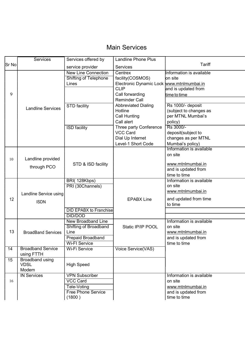# Main Services

|                 | Services                  | Services offered by           | <b>Landline Phone Plus</b>                |                          |
|-----------------|---------------------------|-------------------------------|-------------------------------------------|--------------------------|
| Sr No           |                           | service provider              | Services                                  | Tariff                   |
|                 |                           | <b>New Line Connection</b>    | Centrex                                   | Information is available |
|                 |                           | <b>Shifting of Telephone</b>  | facility(COSMOS)                          | <b>lon</b> site          |
|                 |                           | Lines                         | Electronic Dynamic Lock www.mtnlmumbai.in |                          |
|                 |                           |                               | <b>CLIP</b>                               | and is updated from      |
| 9               |                           |                               | Call forwarding                           | time to time             |
|                 |                           |                               | <b>Reminder Call</b>                      |                          |
|                 | <b>Landline Services</b>  | STD facility                  | <b>Abbreviated Dialing</b>                | Rs 1000/- deposit        |
|                 |                           |                               | Hotline                                   | (subject to changes as   |
|                 |                           |                               | Call Hunting                              | per MTNL Mumbai's        |
|                 |                           |                               | Call alert                                | policy)                  |
|                 |                           | <b>ISD</b> facility           | Three party Conference                    | Rs 3000/-                |
|                 |                           |                               | <b>VCC Card</b>                           | deposit(subject to       |
|                 |                           |                               | Dial Up Internet                          | changes as per MTNL      |
|                 |                           |                               | Level-1 Short Code                        | Mumbai's policy)         |
|                 |                           |                               |                                           | Information is available |
|                 |                           |                               |                                           | on site                  |
| 10              | Landline provided         |                               |                                           |                          |
|                 | through PCO               | STD & ISD facility            |                                           | www.mtnlmumbai.in        |
|                 |                           |                               |                                           | and is updated from      |
|                 |                           |                               |                                           | time to time             |
|                 |                           | BRI(128Kbps)                  |                                           | Information is available |
|                 |                           | PRI (30Channels)              |                                           | on site                  |
|                 | Landline Service using    |                               |                                           | www.mtnlmumbai.in        |
| 12              |                           |                               | <b>EPABX Line</b>                         | and updated from time    |
|                 | <b>ISDN</b>               |                               |                                           | to time                  |
|                 |                           | <b>DID EPABX to Franchise</b> |                                           |                          |
|                 |                           | <b>DID/DOD</b>                |                                           |                          |
|                 |                           | <b>New Broadband Line</b>     |                                           | Information is available |
|                 |                           | Shifting of Broadband         | Static IP/IP POOL                         | on site                  |
| 13              | <b>BroadBand Services</b> | Line                          |                                           | www.mtnlmumbai.in        |
|                 |                           | Prepaid Broadband             |                                           | and is updated from      |
|                 |                           | <b>Wi-FI Service</b>          |                                           | time to time             |
| $\overline{14}$ | <b>Broadband Service</b>  | <b>Wi-Fi Service</b>          | Voice Service(VAS)                        |                          |
|                 | using FTTH                |                               |                                           |                          |
| $\overline{15}$ | <b>Broadband using</b>    |                               |                                           |                          |
|                 | <b>VDSL</b>               | <b>High Speed</b>             |                                           |                          |
|                 | Modem                     |                               |                                           |                          |
|                 | <b>IN Services</b>        | <b>VPN Subscriber</b>         |                                           | Information is available |
| 16              |                           | <b>VCC Card</b>               |                                           | on site                  |
|                 |                           | Tele-Voting                   |                                           | www.mtnlmumbai.in        |
|                 |                           | <b>Free Phone Service</b>     |                                           | and is updated from      |
|                 |                           | (1800)                        |                                           | time to time             |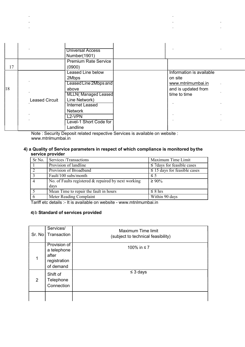| 17 |                       | <b>Universal Access</b><br>Number(1901)<br><b>Premium Rate Service</b><br>(0900)                                                                                                                                                                                                                                                                                                                                                                                                  |                                                                                                 |  |
|----|-----------------------|-----------------------------------------------------------------------------------------------------------------------------------------------------------------------------------------------------------------------------------------------------------------------------------------------------------------------------------------------------------------------------------------------------------------------------------------------------------------------------------|-------------------------------------------------------------------------------------------------|--|
| 18 | <b>Leased Circuit</b> | <b>Leased Line below</b><br>2Mbps<br>Leased Line 2Mbps and<br>above<br><b>MLLN</b> (Managed Leased<br>Line Network)<br><b>Internet Leased</b><br><b>Network</b><br>L <sub>2</sub> -VPN<br>Level-1 Short Code for<br>Landline<br><b>M</b> Let $\alpha$ $\alpha$ be a state $\alpha$ be a state of the set of the state $\alpha$ and the state of the state of the state of the state of the state of the state of the state of the state of the state of the state of the state of | Information is available<br>on site<br>www.mtnlmumbai.in<br>and is updated from<br>time to time |  |

J.

 $\bar{z}$ 

Note : Security Deposit related respective Services is available on website : www.mtnlmumbai.in

# 4) a Quality of Service parameters in respect of which compliance is monitored by the service provider

| Sr No.         | Services/Transactions                                  | Maximum Time Limit                |
|----------------|--------------------------------------------------------|-----------------------------------|
|                | Provision of landline                                  | $\leq$ 7 days for feasible cases  |
| $\overline{2}$ | Provision of Broadband                                 | $\leq$ 15 days for feasible cases |
| $\overline{3}$ | Fault/100 subs/month                                   | $\leq$ 5                          |
|                | No. of Faults registered $\&$ repaired by next working | $\geq 90\%$                       |
|                | days                                                   |                                   |
|                | Mean Time to repair the fault in hours                 | $\leq$ 8 hrs                      |
|                | Meter Reading Complaint                                | Within 90 days                    |

Tariff etc details :- It is available on website - www.mtnlmumbai.in

## 4) b Standard of services provided

t,

 $\mathbf{r}$ 

 $\mathcal{L}$ 

|   | Services/<br>Sr. No   Transaction                                 | <b>Maximum Time limit</b><br>(subject to technical feasibility) |
|---|-------------------------------------------------------------------|-----------------------------------------------------------------|
|   | Provision of<br>a telephone<br>after<br>registration<br>of demand | 100% in ≤7                                                      |
| 2 | Shift of<br>Telephone<br>Connection                               | $\leq$ 3 days                                                   |
|   |                                                                   |                                                                 |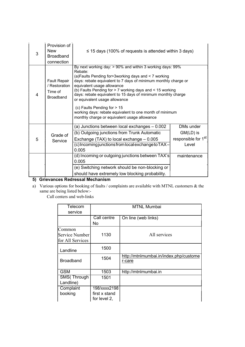| 3 | Provision of<br><b>New</b><br><b>Broadband</b><br>connection        | $\leq$ 15 days (100% of requests is attended within 3 days)                                                                                                                                                                                                                                                                                                                                                                                                                                                                              |                                                                    |
|---|---------------------------------------------------------------------|------------------------------------------------------------------------------------------------------------------------------------------------------------------------------------------------------------------------------------------------------------------------------------------------------------------------------------------------------------------------------------------------------------------------------------------------------------------------------------------------------------------------------------------|--------------------------------------------------------------------|
| 4 | <b>Fault Repair</b><br>/ Restoration<br>Time of<br><b>Broadband</b> | By next working day: $> 90\%$ and within 3 working days: $99\%$<br>Rebate:<br>(a)Faults Pending for>3working days and < 7 working<br>days: rebate equivalent to 7 days of minimum monthly charge or<br>equivalent usage allowance<br>(b) Faults Pending for > 7 working days and < 15 working<br>days: rebate equivalent to 15 days of minimum monthly charge<br>or equivalent usage allowance<br>(c) Faults Pending for > 15<br>working days: rebate equivalent to one month of minimum<br>monthly charge or equivalent usage allowance |                                                                    |
| 5 | Grade of<br>Service                                                 | (a) Junctions between local exchanges - 0.002<br>(b) Outgoing junctions from Trunk Automatic<br>Exchange (TAX) to local exchange $-0.005$<br>(c)IncomingjunctionsfromlocalexchangetoTAX-<br>0.005                                                                                                                                                                                                                                                                                                                                        | DMs under<br>GM(LD) is<br>responsible for 1 <sup>st</sup><br>Level |
|   |                                                                     | (d) Incoming or outgoing junctions between TAX's<br>0.005<br>(e) Switching network should be non-blocking or<br>should have extremely low blocking probability.                                                                                                                                                                                                                                                                                                                                                                          | maintenance                                                        |

# 5) Grievances Redressal Mechanism

a) Various options for booking of faults / complaints are available with MTNL customers  $\&$  the same are being listed below:-

Call centers and web-links

| Telecom                                      |                                               | <b>MTNL Mumbai</b>                               |
|----------------------------------------------|-----------------------------------------------|--------------------------------------------------|
| service                                      |                                               |                                                  |
|                                              | Call centre                                   | On line (web links)                              |
|                                              | No                                            |                                                  |
| Common<br>Service Number<br>for All Services | 1130                                          | All services                                     |
| Landline                                     | 1500                                          |                                                  |
| <b>Broadband</b>                             | 1504                                          | http://mtnlmumbai.in/index.php/custome<br>r-care |
| <b>GSM</b>                                   | 1503                                          | http://mtnlmumbai.in                             |
| SMS(Through                                  | 1501                                          |                                                  |
| Landline)                                    |                                               |                                                  |
| Complaint<br>booking                         | 198/xxxx2198<br>first x stand<br>for level 2, |                                                  |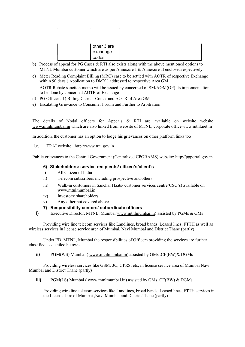|       | other 3 are |
|-------|-------------|
|       | exchange    |
| codes |             |

- b) Process of appeal for PG Cases & RTI also exists along with the above mentioned options to MTNL Mumbai customer which are as per Annexure-I & Annexure-II enclosed respectively.
- c) Meter Reading Complaint Billing (MRC) case to be settled with AOTR of respective Exchange within 90 days ( Application to DMX ) addressed to respective Area GM AOTR Rebate sanction memo will be issued by concerned of SM/AGM(OP) Its implementation

to be done by concerned AOTR of Exchange

- d) PG Officer : 1) Billing Case : Concerned AOTR of Area GM
- e) Escalating Grievance to Consumer Forum and Further to Arbitration

The details of Nodal officers for Appeals & RTI are available on website website www.mtnlmumbai.in which are also linked from website of MTNL, corporate office www.mtnl.net.in

In addition, the customer has an option to lodge his grievances on other platform links too

i.e. TRAI website : http://www.trai.gov.in

Public grievances to the Central Government (Centralized CPGRAMS) website: http://pgportal.gov.in

### 6) Stakeholders: service recipients/ citizen's/client's

- i) All Citizen of India
- ii) Telecom subscribers including prospective and others
- iii) Walk-in customers in Sanchar Haats/ customer services centre(CSC's) available on www.mtnlmumbai.in
- iv) Investors/ shareholders
- v) Any other not covered above

### 7) Responsibility centers/ subordinate officers

i) Executive Director, MTNL, Mumbai(www.mtnlmumbai.in) assisted by PGMs & GMs

Providing wire line telecom services like Landlines, broad bands. Leased lines, FTTH as well as wireless services in license service area of Mumbai, Navi Mumbai and District Thane (partly)

Under ED, MTNL, Mumbai the responsibilities of Officers providing the services are further classified as detailed below:-

ii) PGM(WS) Mumbai ( www.mtnlmumbai.in) assisted by GMs , CE(BW) & DGMs

Providing wireless services like GSM, 3G, GPRS, etc, in license service area of Mumbai Navi Mumbai and District Thane (partly)

iii) PGM(LS) Mumbai ( www.mtnlmumbai.in) assisted by GMs, CE(BW) & DGMs

Providing wire line telecom services like Landlines, broad bands. Leased lines, FTTH services in the Licensed are of Mumbai ,Navi Mumbai and District Thane (partly)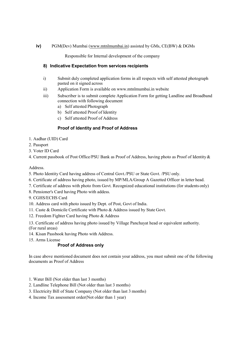#### iv) PGM(Dev) Mumbai (www.mtnlmumbai.in) assisted by GMs, CE(BW) & DGMs

Responsible for Internal development of the company

## 8) Indicative Expectation from services recipients

- i) Submit duly completed application forms in all respects with self attested photograph pasted on it signed across
- ii) Application Form is available on www.mtnlmumbai.in website
- iii) Subscriber is to submit complete Application Form for getting Landline and Broadband connection with following document
	- a) Self attested Photograph
	- b) Self attested Proof of Identity
	- c) Self attested Proof of Address

# Proof of Identity and Proof of Address

- 1. Aadhar (UID) Card
- 2. Passport
- 3. Voter ID Card
- 4. Current passbook of Post Office/PSU Bank as Proof of Address, having photo as Proof of Identity &

#### Address.

- 5. Photo Identity Card having address of Central Govt./PSU or State Govt. /PSU only.
- 6. Certificate of address having photo, issued by MP/MLA/Group A Gazetted Officer in letter head.
- 7. Certificate of address with photo from Govt. Recognized educational institutions (for students only)
- 8. Pensioner's Card having Photo with addess.
- 9. CGHS/ECHS Card
- 10. Address card with photo issued by Dept. of Post, Govt of India.
- 11. Caste & Domicile Certificate with Photo & Address issued by State Govt.
- 12. Freedom Fighter Card having Photo & Address

13. Certificate of address having photo issued by Village Panchayat head or equivalent authority. (For rural areas)

- 14. Kisan Passbook having Photo with Address.
- 15. Arms License

## Proof of Address only

In case above mentioned document does not contain your address, you must submit one of the following documents as Proof of Address

- 1. Water Bill (Not older than last 3 months)
- 2. Landline Telephone Bill (Not older than last 3 months)
- 3. Electricity Bill of State Company (Not older than last 3 months)
- 4. Income Tax assessment order(Not older than 1 year)